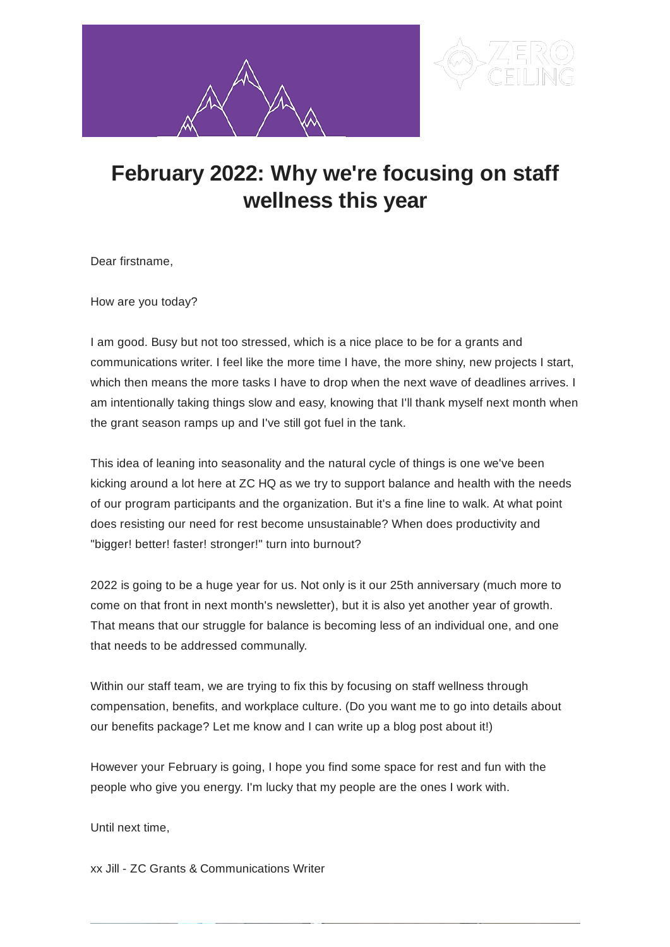



## **February 2022: Why we're focusing on staff wellness this year**

Dear firstname,

How are you today?

I am good. Busy but not too stressed, which is a nice place to be for a grants and communications writer. I feel like the more time I have, the more shiny, new projects I start, which then means the more tasks I have to drop when the next wave of deadlines arrives. I am intentionally taking things slow and easy, knowing that I'll thank myself next month when the grant season ramps up and I've still got fuel in the tank.

This idea of leaning into seasonality and the natural cycle of things is one we've been kicking around a lot here at ZC HQ as we try to support balance and health with the needs of our program participants and the organization. But it's a fine line to walk. At what point does resisting our need for rest become unsustainable? When does productivity and "bigger! better! faster! stronger!" turn into burnout?

2022 is going to be a huge year for us. Not only is it our 25th anniversary (much more to come on that front in next month's newsletter), but it is also yet another year of growth. That means that our struggle for balance is becoming less of an individual one, and one that needs to be addressed communally.

Within our staff team, we are trying to fix this by focusing on staff wellness through compensation, benefits, and workplace culture. (Do you want me to go into details about our benefits package? Let me know and I can write up a blog post about it!)

However your February is going, I hope you find some space for rest and fun with the people who give you energy. I'm lucky that my people are the ones I work with.

Until next time,

xx Jill - ZC Grants & Communications Writer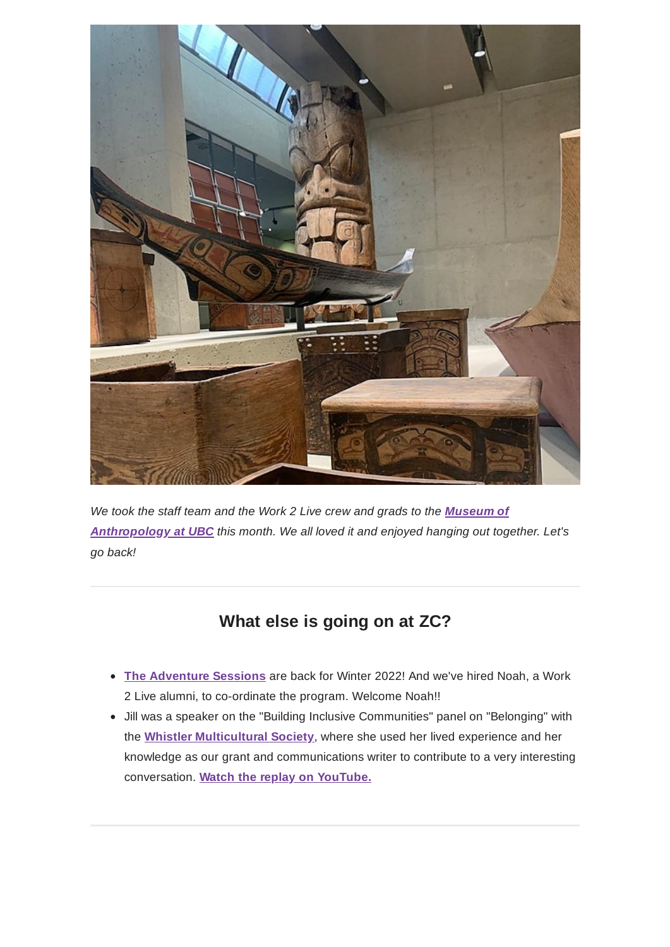

*We took the staff team and the Work 2 Live crew and grads to the Museum of [Anthropology](https://moa.ubc.ca/) at UBC this month. We all loved it and enjoyed hanging out together. Let's go back!*

## **What else is going on at ZC?**

- **The [Adventure](https://zeroceiling.org/adventure-sessions/) Sessions** are back for Winter 2022! And we've hired Noah, a Work 2 Live alumni, to co-ordinate the program. Welcome Noah!!
- Jill was a speaker on the "Building Inclusive Communities" panel on "Belonging" with the **Whistler [Multicultural](https://welcomewhistler.com/about/) Society**, where she used her lived experience and her knowledge as our grant and communications writer to contribute to a very interesting conversation. **Watch the replay on [YouTube.](https://youtu.be/DxNH9WUz5dI)**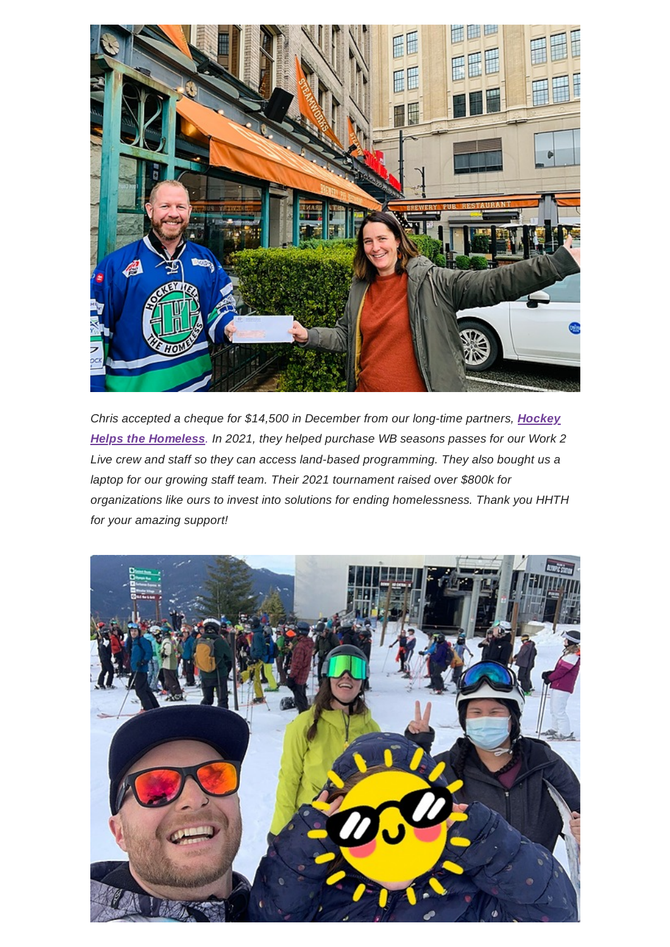

*Chris accepted a cheque for \$14,500 in December from our long-time partners, Hockey Helps the Homeless. In 2021, they helped purchase WB [seasons passes for](https://www.hockeyhelpsthehomeless.com/) our Work 2 Live crew and staff so they can access land-based programming. They also bought us a laptop for our growing staff team. Their 2021 tournament raised over \$800k for organizations like ours to invest into solutions for ending homelessness. Thank you HHTH for your amazing support!*